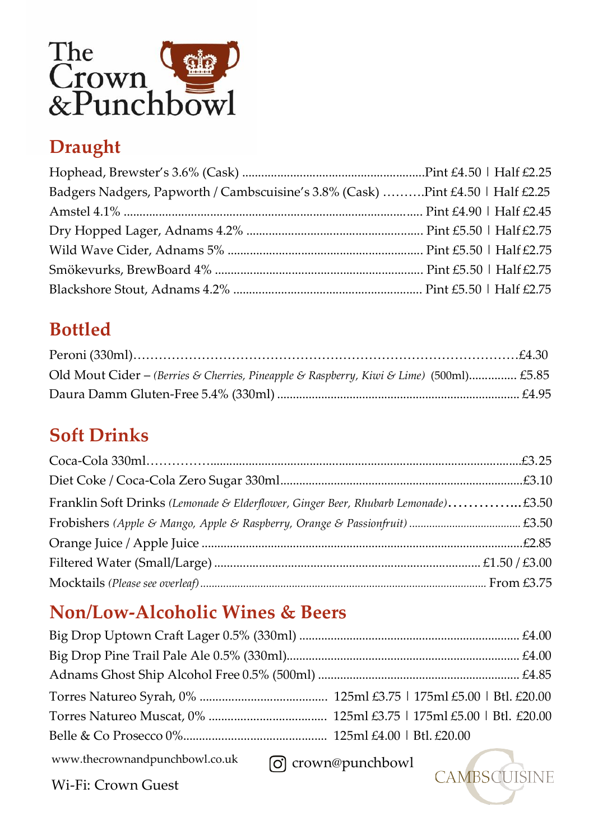

# **Draught**

| Badgers Nadgers, Papworth / Cambscuisine's 3.8% (Cask) Pint £4.50   Half £2.25 |  |
|--------------------------------------------------------------------------------|--|
|                                                                                |  |
|                                                                                |  |
|                                                                                |  |
|                                                                                |  |
|                                                                                |  |

# **Bottled**

| Old Mout Cider - (Berries & Cherries, Pineapple & Raspberry, Kiwi & Lime) (500ml) £5.85 |  |
|-----------------------------------------------------------------------------------------|--|
|                                                                                         |  |

## **Soft Drinks**

| Franklin Soft Drinks (Lemonade & Elderflower, Ginger Beer, Rhubarb Lemonade)£3.50 |  |
|-----------------------------------------------------------------------------------|--|
|                                                                                   |  |
|                                                                                   |  |
|                                                                                   |  |
|                                                                                   |  |

## **Non/Low-Alcoholic Wines & Beers**

| $www. the crown and bunchbowl.co.uk$ arown@punchbowl |  |
|------------------------------------------------------|--|

crown@punchbowl

Wi-Fi: Crown Guest

CAMBSCUISINE